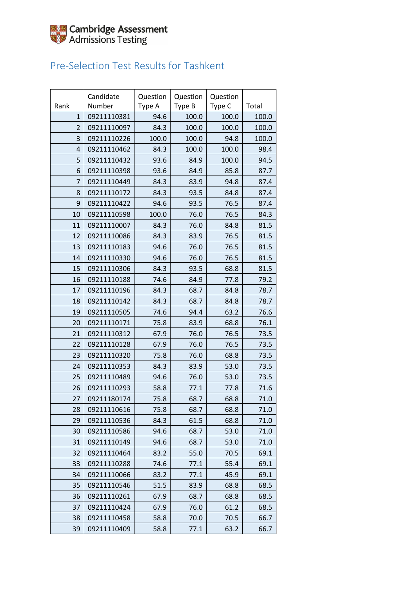

#### Pre-Selection Test Results for Tashkent

|                | Candidate   | Question | Question | Question |       |
|----------------|-------------|----------|----------|----------|-------|
| Rank           | Number      | Type A   | Type B   | Type C   | Total |
| $\mathbf{1}$   | 09211110381 | 94.6     | 100.0    | 100.0    | 100.0 |
| 2              | 09211110097 | 84.3     | 100.0    | 100.0    | 100.0 |
| 3              | 09211110226 | 100.0    | 100.0    | 94.8     | 100.0 |
| $\overline{4}$ | 09211110462 | 84.3     | 100.0    | 100.0    | 98.4  |
| 5              | 09211110432 | 93.6     | 84.9     | 100.0    | 94.5  |
| 6              | 09211110398 | 93.6     | 84.9     | 85.8     | 87.7  |
| 7              | 09211110449 | 84.3     | 83.9     | 94.8     | 87.4  |
| 8              | 09211110172 | 84.3     | 93.5     | 84.8     | 87.4  |
| 9              | 09211110422 | 94.6     | 93.5     | 76.5     | 87.4  |
| 10             | 09211110598 | 100.0    | 76.0     | 76.5     | 84.3  |
| 11             | 09211110007 | 84.3     | 76.0     | 84.8     | 81.5  |
| 12             | 09211110086 | 84.3     | 83.9     | 76.5     | 81.5  |
| 13             | 09211110183 | 94.6     | 76.0     | 76.5     | 81.5  |
| 14             | 09211110330 | 94.6     | 76.0     | 76.5     | 81.5  |
| 15             | 09211110306 | 84.3     | 93.5     | 68.8     | 81.5  |
| 16             | 09211110188 | 74.6     | 84.9     | 77.8     | 79.2  |
| 17             | 09211110196 | 84.3     | 68.7     | 84.8     | 78.7  |
| 18             | 09211110142 | 84.3     | 68.7     | 84.8     | 78.7  |
| 19             | 09211110505 | 74.6     | 94.4     | 63.2     | 76.6  |
| 20             | 09211110171 | 75.8     | 83.9     | 68.8     | 76.1  |
| 21             | 09211110312 | 67.9     | 76.0     | 76.5     | 73.5  |
| 22             | 09211110128 | 67.9     | 76.0     | 76.5     | 73.5  |
| 23             | 09211110320 | 75.8     | 76.0     | 68.8     | 73.5  |
| 24             | 09211110353 | 84.3     | 83.9     | 53.0     | 73.5  |
| 25             | 09211110489 | 94.6     | 76.0     | 53.0     | 73.5  |
| 26             | 09211110293 | 58.8     | 77.1     | 77.8     | 71.6  |
| 27             | 09211180174 | 75.8     | 68.7     | 68.8     | 71.0  |
| 28             | 09211110616 | 75.8     | 68.7     | 68.8     | 71.0  |
| 29             | 09211110536 | 84.3     | 61.5     | 68.8     | 71.0  |
| 30             | 09211110586 | 94.6     | 68.7     | 53.0     | 71.0  |
| 31             | 09211110149 | 94.6     | 68.7     | 53.0     | 71.0  |
| 32             | 09211110464 | 83.2     | 55.0     | 70.5     | 69.1  |
| 33             | 09211110288 | 74.6     | 77.1     | 55.4     | 69.1  |
| 34             | 09211110066 | 83.2     | 77.1     | 45.9     | 69.1  |
| 35             | 09211110546 | 51.5     | 83.9     | 68.8     | 68.5  |
| 36             | 09211110261 | 67.9     | 68.7     | 68.8     | 68.5  |
| 37             | 09211110424 | 67.9     | 76.0     | 61.2     | 68.5  |
| 38             | 09211110458 | 58.8     | 70.0     | 70.5     | 66.7  |
| 39             | 09211110409 | 58.8     | 77.1     | 63.2     | 66.7  |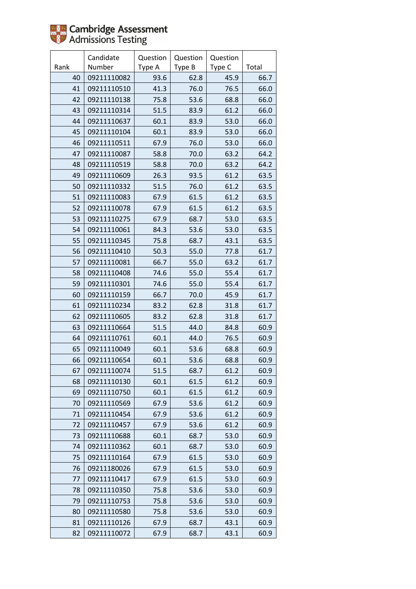

|      | Candidate   | Question | Question | Question |       |
|------|-------------|----------|----------|----------|-------|
| Rank | Number      | Type A   | Type B   | Type C   | Total |
| 40   | 09211110082 | 93.6     | 62.8     | 45.9     | 66.7  |
| 41   | 09211110510 | 41.3     | 76.0     | 76.5     | 66.0  |
| 42   | 09211110138 | 75.8     | 53.6     | 68.8     | 66.0  |
| 43   | 09211110314 | 51.5     | 83.9     | 61.2     | 66.0  |
| 44   | 09211110637 | 60.1     | 83.9     | 53.0     | 66.0  |
| 45   | 09211110104 | 60.1     | 83.9     | 53.0     | 66.0  |
| 46   | 09211110511 | 67.9     | 76.0     | 53.0     | 66.0  |
| 47   | 09211110087 | 58.8     | 70.0     | 63.2     | 64.2  |
| 48   | 09211110519 | 58.8     | 70.0     | 63.2     | 64.2  |
| 49   | 09211110609 | 26.3     | 93.5     | 61.2     | 63.5  |
| 50   | 09211110332 | 51.5     | 76.0     | 61.2     | 63.5  |
| 51   | 09211110083 | 67.9     | 61.5     | 61.2     | 63.5  |
| 52   | 09211110078 | 67.9     | 61.5     | 61.2     | 63.5  |
| 53   | 09211110275 | 67.9     | 68.7     | 53.0     | 63.5  |
| 54   | 09211110061 | 84.3     | 53.6     | 53.0     | 63.5  |
| 55   | 09211110345 | 75.8     | 68.7     | 43.1     | 63.5  |
| 56   | 09211110410 | 50.3     | 55.0     | 77.8     | 61.7  |
| 57   | 09211110081 | 66.7     | 55.0     | 63.2     | 61.7  |
| 58   | 09211110408 | 74.6     | 55.0     | 55.4     | 61.7  |
| 59   | 09211110301 | 74.6     | 55.0     | 55.4     | 61.7  |
| 60   | 09211110159 | 66.7     | 70.0     | 45.9     | 61.7  |
| 61   | 09211110234 | 83.2     | 62.8     | 31.8     | 61.7  |
| 62   | 09211110605 | 83.2     | 62.8     | 31.8     | 61.7  |
| 63   | 09211110664 | 51.5     | 44.0     | 84.8     | 60.9  |
| 64   | 09211110761 | 60.1     | 44.0     | 76.5     | 60.9  |
| 65   | 09211110049 | 60.1     | 53.6     | 68.8     | 60.9  |
| 66   | 09211110654 | 60.1     | 53.6     | 68.8     | 60.9  |
| 67   | 09211110074 | 51.5     | 68.7     | 61.2     | 60.9  |
| 68   | 09211110130 | 60.1     | 61.5     | 61.2     | 60.9  |
| 69   | 09211110750 | 60.1     | 61.5     | 61.2     | 60.9  |
| 70   | 09211110569 | 67.9     | 53.6     | 61.2     | 60.9  |
| 71   | 09211110454 | 67.9     | 53.6     | 61.2     | 60.9  |
| 72   | 09211110457 | 67.9     | 53.6     | 61.2     | 60.9  |
| 73   | 09211110688 | 60.1     | 68.7     | 53.0     | 60.9  |
| 74   | 09211110362 | 60.1     | 68.7     | 53.0     | 60.9  |
| 75   | 09211110164 | 67.9     | 61.5     | 53.0     | 60.9  |
| 76   | 09211180026 | 67.9     | 61.5     | 53.0     | 60.9  |
| 77   | 09211110417 | 67.9     | 61.5     | 53.0     | 60.9  |
| 78   | 09211110350 | 75.8     | 53.6     | 53.0     | 60.9  |
| 79   | 09211110753 | 75.8     | 53.6     | 53.0     | 60.9  |
| 80   | 09211110580 | 75.8     | 53.6     | 53.0     | 60.9  |
| 81   | 09211110126 | 67.9     | 68.7     | 43.1     | 60.9  |
| 82   | 09211110072 | 67.9     | 68.7     | 43.1     | 60.9  |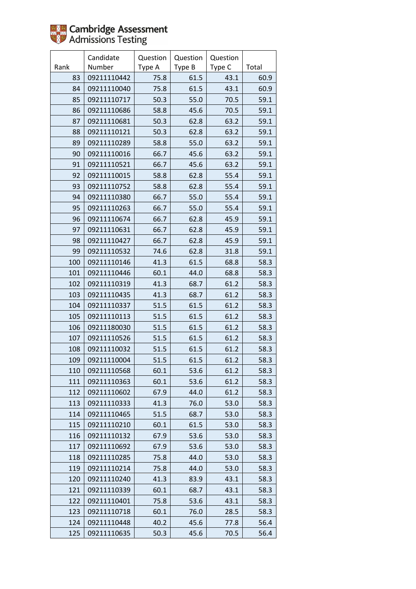

|      | Candidate   | Question | Question | Question |       |
|------|-------------|----------|----------|----------|-------|
| Rank | Number      | Type A   | Type B   | Type C   | Total |
| 83   | 09211110442 | 75.8     | 61.5     | 43.1     | 60.9  |
| 84   | 09211110040 | 75.8     | 61.5     | 43.1     | 60.9  |
| 85   | 09211110717 | 50.3     | 55.0     | 70.5     | 59.1  |
| 86   | 09211110686 | 58.8     | 45.6     | 70.5     | 59.1  |
| 87   | 09211110681 | 50.3     | 62.8     | 63.2     | 59.1  |
| 88   | 09211110121 | 50.3     | 62.8     | 63.2     | 59.1  |
| 89   | 09211110289 | 58.8     | 55.0     | 63.2     | 59.1  |
| 90   | 09211110016 | 66.7     | 45.6     | 63.2     | 59.1  |
| 91   | 09211110521 | 66.7     | 45.6     | 63.2     | 59.1  |
| 92   | 09211110015 | 58.8     | 62.8     | 55.4     | 59.1  |
| 93   | 09211110752 | 58.8     | 62.8     | 55.4     | 59.1  |
| 94   | 09211110380 | 66.7     | 55.0     | 55.4     | 59.1  |
| 95   | 09211110263 | 66.7     | 55.0     | 55.4     | 59.1  |
| 96   | 09211110674 | 66.7     | 62.8     | 45.9     | 59.1  |
| 97   | 09211110631 | 66.7     | 62.8     | 45.9     | 59.1  |
| 98   | 09211110427 | 66.7     | 62.8     | 45.9     | 59.1  |
| 99   | 09211110532 | 74.6     | 62.8     | 31.8     | 59.1  |
| 100  | 09211110146 | 41.3     | 61.5     | 68.8     | 58.3  |
| 101  | 09211110446 | 60.1     | 44.0     | 68.8     | 58.3  |
| 102  | 09211110319 | 41.3     | 68.7     | 61.2     | 58.3  |
| 103  | 09211110435 | 41.3     | 68.7     | 61.2     | 58.3  |
| 104  | 09211110337 | 51.5     | 61.5     | 61.2     | 58.3  |
| 105  | 09211110113 | 51.5     | 61.5     | 61.2     | 58.3  |
| 106  | 09211180030 | 51.5     | 61.5     | 61.2     | 58.3  |
| 107  | 09211110526 | 51.5     | 61.5     | 61.2     | 58.3  |
| 108  | 09211110032 | 51.5     | 61.5     | 61.2     | 58.3  |
| 109  | 09211110004 | 51.5     | 61.5     | 61.2     | 58.3  |
| 110  | 09211110568 | 60.1     | 53.6     | 61.2     | 58.3  |
| 111  | 09211110363 | 60.1     | 53.6     | 61.2     | 58.3  |
| 112  | 09211110602 | 67.9     | 44.0     | 61.2     | 58.3  |
| 113  | 09211110333 | 41.3     | 76.0     | 53.0     | 58.3  |
| 114  | 09211110465 | 51.5     | 68.7     | 53.0     | 58.3  |
| 115  | 09211110210 | 60.1     | 61.5     | 53.0     | 58.3  |
| 116  | 09211110132 | 67.9     | 53.6     | 53.0     | 58.3  |
| 117  | 09211110692 | 67.9     | 53.6     | 53.0     | 58.3  |
| 118  | 09211110285 | 75.8     | 44.0     | 53.0     | 58.3  |
| 119  | 09211110214 | 75.8     | 44.0     | 53.0     | 58.3  |
| 120  | 09211110240 | 41.3     | 83.9     | 43.1     | 58.3  |
| 121  | 09211110339 | 60.1     | 68.7     | 43.1     | 58.3  |
| 122  | 09211110401 | 75.8     | 53.6     | 43.1     | 58.3  |
| 123  | 09211110718 | 60.1     | 76.0     | 28.5     | 58.3  |
| 124  | 09211110448 | 40.2     | 45.6     | 77.8     | 56.4  |
| 125  | 09211110635 | 50.3     | 45.6     | 70.5     | 56.4  |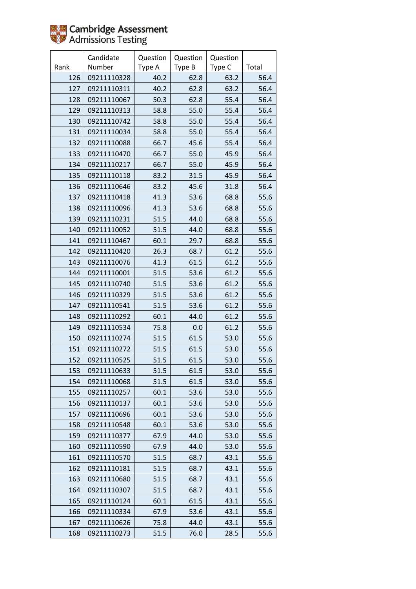

|      | Candidate   | Question | Question | Question |       |
|------|-------------|----------|----------|----------|-------|
| Rank | Number      | Type A   | Type B   | Type C   | Total |
| 126  | 09211110328 | 40.2     | 62.8     | 63.2     | 56.4  |
| 127  | 09211110311 | 40.2     | 62.8     | 63.2     | 56.4  |
| 128  | 09211110067 | 50.3     | 62.8     | 55.4     | 56.4  |
| 129  | 09211110313 | 58.8     | 55.0     | 55.4     | 56.4  |
| 130  | 09211110742 | 58.8     | 55.0     | 55.4     | 56.4  |
| 131  | 09211110034 | 58.8     | 55.0     | 55.4     | 56.4  |
| 132  | 09211110088 | 66.7     | 45.6     | 55.4     | 56.4  |
| 133  | 09211110470 | 66.7     | 55.0     | 45.9     | 56.4  |
| 134  | 09211110217 | 66.7     | 55.0     | 45.9     | 56.4  |
| 135  | 09211110118 | 83.2     | 31.5     | 45.9     | 56.4  |
| 136  | 09211110646 | 83.2     | 45.6     | 31.8     | 56.4  |
| 137  | 09211110418 | 41.3     | 53.6     | 68.8     | 55.6  |
| 138  | 09211110096 | 41.3     | 53.6     | 68.8     | 55.6  |
| 139  | 09211110231 | 51.5     | 44.0     | 68.8     | 55.6  |
| 140  | 09211110052 | 51.5     | 44.0     | 68.8     | 55.6  |
| 141  | 09211110467 | 60.1     | 29.7     | 68.8     | 55.6  |
| 142  | 09211110420 | 26.3     | 68.7     | 61.2     | 55.6  |
| 143  | 09211110076 | 41.3     | 61.5     | 61.2     | 55.6  |
| 144  | 09211110001 | 51.5     | 53.6     | 61.2     | 55.6  |
| 145  | 09211110740 | 51.5     | 53.6     | 61.2     | 55.6  |
| 146  | 09211110329 | 51.5     | 53.6     | 61.2     | 55.6  |
| 147  | 09211110541 | 51.5     | 53.6     | 61.2     | 55.6  |
| 148  | 09211110292 | 60.1     | 44.0     | 61.2     | 55.6  |
| 149  | 09211110534 | 75.8     | 0.0      | 61.2     | 55.6  |
| 150  | 09211110274 | 51.5     | 61.5     | 53.0     | 55.6  |
| 151  | 09211110272 | 51.5     | 61.5     | 53.0     | 55.6  |
| 152  | 09211110525 | 51.5     | 61.5     | 53.0     | 55.6  |
| 153  | 09211110633 | 51.5     | 61.5     | 53.0     | 55.6  |
| 154  | 09211110068 | 51.5     | 61.5     | 53.0     | 55.6  |
| 155  | 09211110257 | 60.1     | 53.6     | 53.0     | 55.6  |
| 156  | 09211110137 | 60.1     | 53.6     | 53.0     | 55.6  |
| 157  | 09211110696 | 60.1     | 53.6     | 53.0     | 55.6  |
| 158  | 09211110548 | 60.1     | 53.6     | 53.0     | 55.6  |
| 159  | 09211110377 | 67.9     | 44.0     | 53.0     | 55.6  |
| 160  | 09211110590 | 67.9     | 44.0     | 53.0     | 55.6  |
| 161  | 09211110570 | 51.5     | 68.7     | 43.1     | 55.6  |
| 162  | 09211110181 | 51.5     | 68.7     | 43.1     | 55.6  |
| 163  | 09211110680 | 51.5     | 68.7     | 43.1     | 55.6  |
| 164  | 09211110307 | 51.5     | 68.7     | 43.1     | 55.6  |
| 165  | 09211110124 | 60.1     | 61.5     | 43.1     | 55.6  |
| 166  | 09211110334 | 67.9     | 53.6     | 43.1     | 55.6  |
| 167  | 09211110626 | 75.8     | 44.0     | 43.1     | 55.6  |
| 168  | 09211110273 | 51.5     | 76.0     | 28.5     | 55.6  |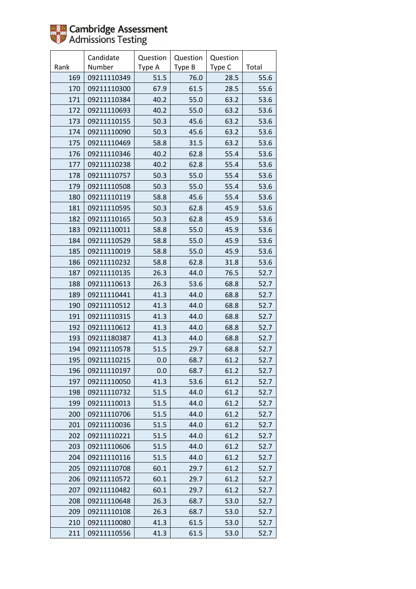|      | Candidate   | Question | Question | Question |       |
|------|-------------|----------|----------|----------|-------|
| Rank | Number      | Type A   | Type B   | Type C   | Total |
| 169  | 09211110349 | 51.5     | 76.0     | 28.5     | 55.6  |
| 170  | 09211110300 | 67.9     | 61.5     | 28.5     | 55.6  |
| 171  | 09211110384 | 40.2     | 55.0     | 63.2     | 53.6  |
| 172  | 09211110693 | 40.2     | 55.0     | 63.2     | 53.6  |
| 173  | 09211110155 | 50.3     | 45.6     | 63.2     | 53.6  |
| 174  | 09211110090 | 50.3     | 45.6     | 63.2     | 53.6  |
| 175  | 09211110469 | 58.8     | 31.5     | 63.2     | 53.6  |
| 176  | 09211110346 | 40.2     | 62.8     | 55.4     | 53.6  |
| 177  | 09211110238 | 40.2     | 62.8     | 55.4     | 53.6  |
| 178  | 09211110757 | 50.3     | 55.0     | 55.4     | 53.6  |
| 179  | 09211110508 | 50.3     | 55.0     | 55.4     | 53.6  |
| 180  | 09211110119 | 58.8     | 45.6     | 55.4     | 53.6  |
| 181  | 09211110595 | 50.3     | 62.8     | 45.9     | 53.6  |
| 182  | 09211110165 | 50.3     | 62.8     | 45.9     | 53.6  |
| 183  | 09211110011 | 58.8     | 55.0     | 45.9     | 53.6  |
| 184  | 09211110529 | 58.8     | 55.0     | 45.9     | 53.6  |
| 185  | 09211110019 | 58.8     | 55.0     | 45.9     | 53.6  |
| 186  | 09211110232 | 58.8     | 62.8     | 31.8     | 53.6  |
| 187  | 09211110135 | 26.3     | 44.0     | 76.5     | 52.7  |
| 188  | 09211110613 | 26.3     | 53.6     | 68.8     | 52.7  |
| 189  | 09211110441 | 41.3     | 44.0     | 68.8     | 52.7  |
| 190  | 09211110512 | 41.3     | 44.0     | 68.8     | 52.7  |
| 191  | 09211110315 | 41.3     | 44.0     | 68.8     | 52.7  |
| 192  | 09211110612 | 41.3     | 44.0     | 68.8     | 52.7  |
| 193  | 09211180387 | 41.3     | 44.0     | 68.8     | 52.7  |
| 194  | 09211110578 | 51.5     | 29.7     | 68.8     | 52.7  |
| 195  | 09211110215 | 0.0      | 68.7     | 61.2     | 52.7  |
| 196  | 09211110197 | 0.0      | 68.7     | 61.2     | 52.7  |
| 197  | 09211110050 | 41.3     | 53.6     | 61.2     | 52.7  |
| 198  | 09211110732 | 51.5     | 44.0     | 61.2     | 52.7  |
| 199  | 09211110013 | 51.5     | 44.0     | 61.2     | 52.7  |
| 200  | 09211110706 | 51.5     | 44.0     | 61.2     | 52.7  |
| 201  | 09211110036 | 51.5     | 44.0     | 61.2     | 52.7  |
| 202  | 09211110221 | 51.5     | 44.0     | 61.2     | 52.7  |
| 203  | 09211110606 | 51.5     | 44.0     | 61.2     | 52.7  |
| 204  | 09211110116 | 51.5     | 44.0     | 61.2     | 52.7  |
| 205  | 09211110708 | 60.1     | 29.7     | 61.2     | 52.7  |
| 206  | 09211110572 | 60.1     | 29.7     | 61.2     | 52.7  |
| 207  | 09211110482 | 60.1     | 29.7     | 61.2     | 52.7  |
| 208  | 09211110648 | 26.3     | 68.7     | 53.0     | 52.7  |
| 209  | 09211110108 | 26.3     | 68.7     | 53.0     | 52.7  |
| 210  | 09211110080 | 41.3     | 61.5     | 53.0     | 52.7  |
| 211  | 09211110556 | 41.3     | 61.5     | 53.0     | 52.7  |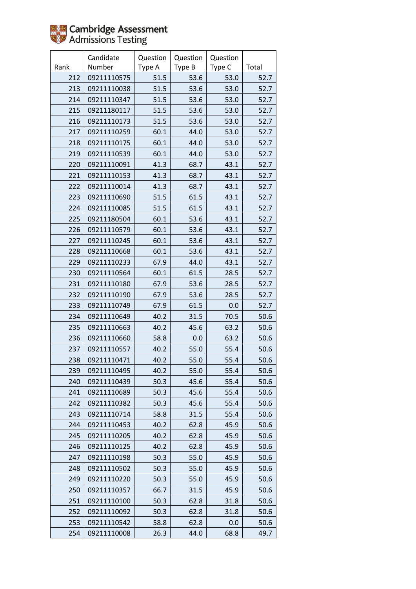

|      | Candidate   | Question | Question | Question |       |
|------|-------------|----------|----------|----------|-------|
| Rank | Number      | Type A   | Type B   | Type C   | Total |
| 212  | 09211110575 | 51.5     | 53.6     | 53.0     | 52.7  |
| 213  | 09211110038 | 51.5     | 53.6     | 53.0     | 52.7  |
| 214  | 09211110347 | 51.5     | 53.6     | 53.0     | 52.7  |
| 215  | 09211180117 | 51.5     | 53.6     | 53.0     | 52.7  |
| 216  | 09211110173 | 51.5     | 53.6     | 53.0     | 52.7  |
| 217  | 09211110259 | 60.1     | 44.0     | 53.0     | 52.7  |
| 218  | 09211110175 | 60.1     | 44.0     | 53.0     | 52.7  |
| 219  | 09211110539 | 60.1     | 44.0     | 53.0     | 52.7  |
| 220  | 09211110091 | 41.3     | 68.7     | 43.1     | 52.7  |
| 221  | 09211110153 | 41.3     | 68.7     | 43.1     | 52.7  |
| 222  | 09211110014 | 41.3     | 68.7     | 43.1     | 52.7  |
| 223  | 09211110690 | 51.5     | 61.5     | 43.1     | 52.7  |
| 224  | 09211110085 | 51.5     | 61.5     | 43.1     | 52.7  |
| 225  | 09211180504 | 60.1     | 53.6     | 43.1     | 52.7  |
| 226  | 09211110579 | 60.1     | 53.6     | 43.1     | 52.7  |
| 227  | 09211110245 | 60.1     | 53.6     | 43.1     | 52.7  |
| 228  | 09211110668 | 60.1     | 53.6     | 43.1     | 52.7  |
| 229  | 09211110233 | 67.9     | 44.0     | 43.1     | 52.7  |
| 230  | 09211110564 | 60.1     | 61.5     | 28.5     | 52.7  |
| 231  | 09211110180 | 67.9     | 53.6     | 28.5     | 52.7  |
| 232  | 09211110190 | 67.9     | 53.6     | 28.5     | 52.7  |
| 233  | 09211110749 | 67.9     | 61.5     | 0.0      | 52.7  |
| 234  | 09211110649 | 40.2     | 31.5     | 70.5     | 50.6  |
| 235  | 09211110663 | 40.2     | 45.6     | 63.2     | 50.6  |
| 236  | 09211110660 | 58.8     | 0.0      | 63.2     | 50.6  |
| 237  | 09211110557 | 40.2     | 55.0     | 55.4     | 50.6  |
| 238  | 09211110471 | 40.2     | 55.0     | 55.4     | 50.6  |
| 239  | 09211110495 | 40.2     | 55.0     | 55.4     | 50.6  |
| 240  | 09211110439 | 50.3     | 45.6     | 55.4     | 50.6  |
| 241  | 09211110689 | 50.3     | 45.6     | 55.4     | 50.6  |
| 242  | 09211110382 | 50.3     | 45.6     | 55.4     | 50.6  |
| 243  | 09211110714 | 58.8     | 31.5     | 55.4     | 50.6  |
| 244  | 09211110453 | 40.2     | 62.8     | 45.9     | 50.6  |
| 245  | 09211110205 | 40.2     | 62.8     | 45.9     | 50.6  |
| 246  | 09211110125 | 40.2     | 62.8     | 45.9     | 50.6  |
| 247  | 09211110198 | 50.3     | 55.0     | 45.9     | 50.6  |
| 248  | 09211110502 | 50.3     | 55.0     | 45.9     | 50.6  |
| 249  | 09211110220 | 50.3     | 55.0     | 45.9     | 50.6  |
| 250  | 09211110357 | 66.7     | 31.5     | 45.9     | 50.6  |
| 251  | 09211110100 | 50.3     | 62.8     | 31.8     | 50.6  |
| 252  | 09211110092 | 50.3     | 62.8     | 31.8     | 50.6  |
| 253  | 09211110542 | 58.8     | 62.8     | 0.0      | 50.6  |
| 254  | 09211110008 | 26.3     | 44.0     | 68.8     | 49.7  |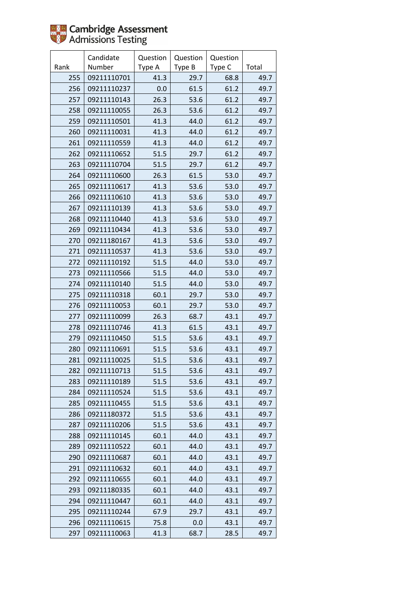

|      | Candidate   | Question | Question | Question |       |
|------|-------------|----------|----------|----------|-------|
| Rank | Number      | Type A   | Type B   | Type C   | Total |
| 255  | 09211110701 | 41.3     | 29.7     | 68.8     | 49.7  |
| 256  | 09211110237 | 0.0      | 61.5     | 61.2     | 49.7  |
| 257  | 09211110143 | 26.3     | 53.6     | 61.2     | 49.7  |
| 258  | 09211110055 | 26.3     | 53.6     | 61.2     | 49.7  |
| 259  | 09211110501 | 41.3     | 44.0     | 61.2     | 49.7  |
| 260  | 09211110031 | 41.3     | 44.0     | 61.2     | 49.7  |
| 261  | 09211110559 | 41.3     | 44.0     | 61.2     | 49.7  |
| 262  | 09211110652 | 51.5     | 29.7     | 61.2     | 49.7  |
| 263  | 09211110704 | 51.5     | 29.7     | 61.2     | 49.7  |
| 264  | 09211110600 | 26.3     | 61.5     | 53.0     | 49.7  |
| 265  | 09211110617 | 41.3     | 53.6     | 53.0     | 49.7  |
| 266  | 09211110610 | 41.3     | 53.6     | 53.0     | 49.7  |
| 267  | 09211110139 | 41.3     | 53.6     | 53.0     | 49.7  |
| 268  | 09211110440 | 41.3     | 53.6     | 53.0     | 49.7  |
| 269  | 09211110434 | 41.3     | 53.6     | 53.0     | 49.7  |
| 270  | 09211180167 | 41.3     | 53.6     | 53.0     | 49.7  |
| 271  | 09211110537 | 41.3     | 53.6     | 53.0     | 49.7  |
| 272  | 09211110192 | 51.5     | 44.0     | 53.0     | 49.7  |
| 273  | 09211110566 | 51.5     | 44.0     | 53.0     | 49.7  |
| 274  | 09211110140 | 51.5     | 44.0     | 53.0     | 49.7  |
| 275  | 09211110318 | 60.1     | 29.7     | 53.0     | 49.7  |
| 276  | 09211110053 | 60.1     | 29.7     | 53.0     | 49.7  |
| 277  | 09211110099 | 26.3     | 68.7     | 43.1     | 49.7  |
| 278  | 09211110746 | 41.3     | 61.5     | 43.1     | 49.7  |
| 279  | 09211110450 | 51.5     | 53.6     | 43.1     | 49.7  |
| 280  | 09211110691 | 51.5     | 53.6     | 43.1     | 49.7  |
| 281  | 09211110025 | 51.5     | 53.6     | 43.1     | 49.7  |
| 282  | 09211110713 | 51.5     | 53.6     | 43.1     | 49.7  |
| 283  | 09211110189 | 51.5     | 53.6     | 43.1     | 49.7  |
| 284  | 09211110524 | 51.5     | 53.6     | 43.1     | 49.7  |
| 285  | 09211110455 | 51.5     | 53.6     | 43.1     | 49.7  |
| 286  | 09211180372 | 51.5     | 53.6     | 43.1     | 49.7  |
| 287  | 09211110206 | 51.5     | 53.6     | 43.1     | 49.7  |
| 288  | 09211110145 | 60.1     | 44.0     | 43.1     | 49.7  |
| 289  | 09211110522 | 60.1     | 44.0     | 43.1     | 49.7  |
| 290  | 09211110687 | 60.1     | 44.0     | 43.1     | 49.7  |
| 291  | 09211110632 | 60.1     | 44.0     | 43.1     | 49.7  |
| 292  | 09211110655 | 60.1     | 44.0     | 43.1     | 49.7  |
| 293  | 09211180335 | 60.1     | 44.0     | 43.1     | 49.7  |
| 294  | 09211110447 | 60.1     | 44.0     | 43.1     | 49.7  |
| 295  | 09211110244 | 67.9     | 29.7     | 43.1     | 49.7  |
| 296  | 09211110615 | 75.8     | 0.0      | 43.1     | 49.7  |
| 297  | 09211110063 | 41.3     | 68.7     | 28.5     | 49.7  |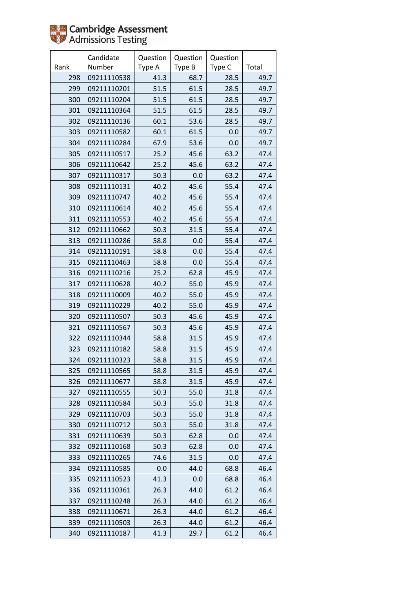

|      | Candidate   | Question | Question | Question |       |
|------|-------------|----------|----------|----------|-------|
| Rank | Number      | Type A   | Type B   | Type C   | Total |
| 298  | 09211110538 | 41.3     | 68.7     | 28.5     | 49.7  |
| 299  | 09211110201 | 51.5     | 61.5     | 28.5     | 49.7  |
| 300  | 09211110204 | 51.5     | 61.5     | 28.5     | 49.7  |
| 301  | 09211110364 | 51.5     | 61.5     | 28.5     | 49.7  |
| 302  | 09211110136 | 60.1     | 53.6     | 28.5     | 49.7  |
| 303  | 09211110582 | 60.1     | 61.5     | 0.0      | 49.7  |
| 304  | 09211110284 | 67.9     | 53.6     | 0.0      | 49.7  |
| 305  | 09211110517 | 25.2     | 45.6     | 63.2     | 47.4  |
| 306  | 09211110642 | 25.2     | 45.6     | 63.2     | 47.4  |
| 307  | 09211110317 | 50.3     | 0.0      | 63.2     | 47.4  |
| 308  | 09211110131 | 40.2     | 45.6     | 55.4     | 47.4  |
| 309  | 09211110747 | 40.2     | 45.6     | 55.4     | 47.4  |
| 310  | 09211110614 | 40.2     | 45.6     | 55.4     | 47.4  |
| 311  | 09211110553 | 40.2     | 45.6     | 55.4     | 47.4  |
| 312  | 09211110662 | 50.3     | 31.5     | 55.4     | 47.4  |
| 313  | 09211110286 | 58.8     | 0.0      | 55.4     | 47.4  |
| 314  | 09211110191 | 58.8     | 0.0      | 55.4     | 47.4  |
| 315  | 09211110463 | 58.8     | 0.0      | 55.4     | 47.4  |
| 316  | 09211110216 | 25.2     | 62.8     | 45.9     | 47.4  |
| 317  | 09211110628 | 40.2     | 55.0     | 45.9     | 47.4  |
| 318  | 09211110009 | 40.2     | 55.0     | 45.9     | 47.4  |
| 319  | 09211110229 | 40.2     | 55.0     | 45.9     | 47.4  |
| 320  | 09211110507 | 50.3     | 45.6     | 45.9     | 47.4  |
| 321  | 09211110567 | 50.3     | 45.6     | 45.9     | 47.4  |
| 322  | 09211110344 | 58.8     | 31.5     | 45.9     | 47.4  |
| 323  | 09211110182 | 58.8     | 31.5     | 45.9     | 47.4  |
| 324  | 09211110323 | 58.8     | 31.5     | 45.9     | 47.4  |
| 325  | 09211110565 | 58.8     | 31.5     | 45.9     | 47.4  |
| 326  | 09211110677 | 58.8     | 31.5     | 45.9     | 47.4  |
| 327  | 09211110555 | 50.3     | 55.0     | 31.8     | 47.4  |
| 328  | 09211110584 | 50.3     | 55.0     | 31.8     | 47.4  |
| 329  | 09211110703 | 50.3     | 55.0     | 31.8     | 47.4  |
| 330  | 09211110712 | 50.3     | 55.0     | 31.8     | 47.4  |
| 331  | 09211110639 | 50.3     | 62.8     | 0.0      | 47.4  |
| 332  | 09211110168 | 50.3     | 62.8     | 0.0      | 47.4  |
| 333  | 09211110265 | 74.6     | 31.5     | 0.0      | 47.4  |
| 334  | 09211110585 | 0.0      | 44.0     | 68.8     | 46.4  |
| 335  | 09211110523 | 41.3     | 0.0      | 68.8     | 46.4  |
| 336  | 09211110361 | 26.3     | 44.0     | 61.2     | 46.4  |
| 337  | 09211110248 | 26.3     | 44.0     | 61.2     | 46.4  |
| 338  | 09211110671 | 26.3     | 44.0     | 61.2     | 46.4  |
| 339  | 09211110503 | 26.3     | 44.0     | 61.2     | 46.4  |
| 340  | 09211110187 | 41.3     | 29.7     | 61.2     | 46.4  |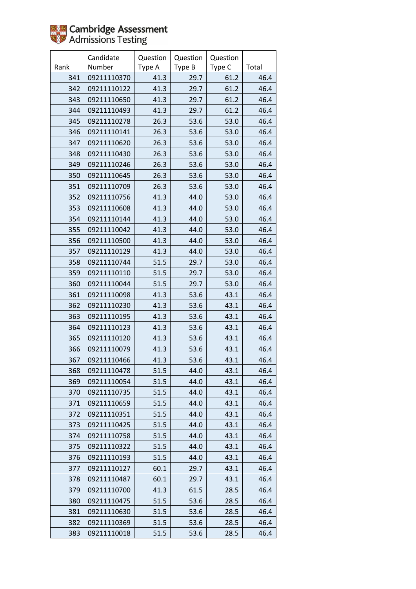

|      | Candidate   | Question | Question | Question |       |
|------|-------------|----------|----------|----------|-------|
| Rank | Number      | Type A   | Type B   | Type C   | Total |
| 341  | 09211110370 | 41.3     | 29.7     | 61.2     | 46.4  |
| 342  | 09211110122 | 41.3     | 29.7     | 61.2     | 46.4  |
| 343  | 09211110650 | 41.3     | 29.7     | 61.2     | 46.4  |
| 344  | 09211110493 | 41.3     | 29.7     | 61.2     | 46.4  |
| 345  | 09211110278 | 26.3     | 53.6     | 53.0     | 46.4  |
| 346  | 09211110141 | 26.3     | 53.6     | 53.0     | 46.4  |
| 347  | 09211110620 | 26.3     | 53.6     | 53.0     | 46.4  |
| 348  | 09211110430 | 26.3     | 53.6     | 53.0     | 46.4  |
| 349  | 09211110246 | 26.3     | 53.6     | 53.0     | 46.4  |
| 350  | 09211110645 | 26.3     | 53.6     | 53.0     | 46.4  |
| 351  | 09211110709 | 26.3     | 53.6     | 53.0     | 46.4  |
| 352  | 09211110756 | 41.3     | 44.0     | 53.0     | 46.4  |
| 353  | 09211110608 | 41.3     | 44.0     | 53.0     | 46.4  |
| 354  | 09211110144 | 41.3     | 44.0     | 53.0     | 46.4  |
| 355  | 09211110042 | 41.3     | 44.0     | 53.0     | 46.4  |
| 356  | 09211110500 | 41.3     | 44.0     | 53.0     | 46.4  |
| 357  | 09211110129 | 41.3     | 44.0     | 53.0     | 46.4  |
| 358  | 09211110744 | 51.5     | 29.7     | 53.0     | 46.4  |
| 359  | 09211110110 | 51.5     | 29.7     | 53.0     | 46.4  |
| 360  | 09211110044 | 51.5     | 29.7     | 53.0     | 46.4  |
| 361  | 09211110098 | 41.3     | 53.6     | 43.1     | 46.4  |
| 362  | 09211110230 | 41.3     | 53.6     | 43.1     | 46.4  |
| 363  | 09211110195 | 41.3     | 53.6     | 43.1     | 46.4  |
| 364  | 09211110123 | 41.3     | 53.6     | 43.1     | 46.4  |
| 365  | 09211110120 | 41.3     | 53.6     | 43.1     | 46.4  |
| 366  | 09211110079 | 41.3     | 53.6     | 43.1     | 46.4  |
| 367  | 09211110466 | 41.3     | 53.6     | 43.1     | 46.4  |
| 368  | 09211110478 | 51.5     | 44.0     | 43.1     | 46.4  |
| 369  | 09211110054 | 51.5     | 44.0     | 43.1     | 46.4  |
| 370  | 09211110735 | 51.5     | 44.0     | 43.1     | 46.4  |
| 371  | 09211110659 | 51.5     | 44.0     | 43.1     | 46.4  |
| 372  | 09211110351 | 51.5     | 44.0     | 43.1     | 46.4  |
| 373  | 09211110425 | 51.5     | 44.0     | 43.1     | 46.4  |
| 374  | 09211110758 | 51.5     | 44.0     | 43.1     | 46.4  |
| 375  | 09211110322 | 51.5     | 44.0     | 43.1     | 46.4  |
| 376  | 09211110193 | 51.5     | 44.0     | 43.1     | 46.4  |
| 377  | 09211110127 | 60.1     | 29.7     | 43.1     | 46.4  |
| 378  | 09211110487 | 60.1     | 29.7     | 43.1     | 46.4  |
| 379  | 09211110700 | 41.3     | 61.5     | 28.5     | 46.4  |
| 380  | 09211110475 | 51.5     | 53.6     | 28.5     | 46.4  |
| 381  | 09211110630 | 51.5     | 53.6     | 28.5     | 46.4  |
| 382  | 09211110369 | 51.5     | 53.6     | 28.5     | 46.4  |
| 383  | 09211110018 | 51.5     | 53.6     | 28.5     | 46.4  |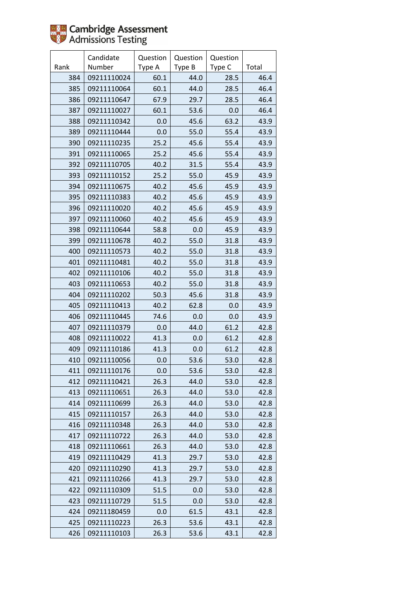|      | Candidate   | Question | Question | Question |       |
|------|-------------|----------|----------|----------|-------|
| Rank | Number      | Type A   | Type B   | Type C   | Total |
| 384  | 09211110024 | 60.1     | 44.0     | 28.5     | 46.4  |
| 385  | 09211110064 | 60.1     | 44.0     | 28.5     | 46.4  |
| 386  | 09211110647 | 67.9     | 29.7     | 28.5     | 46.4  |
| 387  | 09211110027 | 60.1     | 53.6     | 0.0      | 46.4  |
| 388  | 09211110342 | 0.0      | 45.6     | 63.2     | 43.9  |
| 389  | 09211110444 | 0.0      | 55.0     | 55.4     | 43.9  |
| 390  | 09211110235 | 25.2     | 45.6     | 55.4     | 43.9  |
| 391  | 09211110065 | 25.2     | 45.6     | 55.4     | 43.9  |
| 392  | 09211110705 | 40.2     | 31.5     | 55.4     | 43.9  |
| 393  | 09211110152 | 25.2     | 55.0     | 45.9     | 43.9  |
| 394  | 09211110675 | 40.2     | 45.6     | 45.9     | 43.9  |
| 395  | 09211110383 | 40.2     | 45.6     | 45.9     | 43.9  |
| 396  | 09211110020 | 40.2     | 45.6     | 45.9     | 43.9  |
| 397  | 09211110060 | 40.2     | 45.6     | 45.9     | 43.9  |
| 398  | 09211110644 | 58.8     | 0.0      | 45.9     | 43.9  |
| 399  | 09211110678 | 40.2     | 55.0     | 31.8     | 43.9  |
| 400  | 09211110573 | 40.2     | 55.0     | 31.8     | 43.9  |
| 401  | 09211110481 | 40.2     | 55.0     | 31.8     | 43.9  |
| 402  | 09211110106 | 40.2     | 55.0     | 31.8     | 43.9  |
| 403  | 09211110653 | 40.2     | 55.0     | 31.8     | 43.9  |
| 404  | 09211110202 | 50.3     | 45.6     | 31.8     | 43.9  |
| 405  | 09211110413 | 40.2     | 62.8     | 0.0      | 43.9  |
| 406  | 09211110445 | 74.6     | 0.0      | 0.0      | 43.9  |
| 407  | 09211110379 | 0.0      | 44.0     | 61.2     | 42.8  |
| 408  | 09211110022 | 41.3     | 0.0      | 61.2     | 42.8  |
| 409  | 09211110186 | 41.3     | 0.0      | 61.2     | 42.8  |
| 410  | 09211110056 | 0.0      | 53.6     | 53.0     | 42.8  |
| 411  | 09211110176 | 0.0      | 53.6     | 53.0     | 42.8  |
| 412  | 09211110421 | 26.3     | 44.0     | 53.0     | 42.8  |
| 413  | 09211110651 | 26.3     | 44.0     | 53.0     | 42.8  |
| 414  | 09211110699 | 26.3     | 44.0     | 53.0     | 42.8  |
| 415  | 09211110157 | 26.3     | 44.0     | 53.0     | 42.8  |
| 416  | 09211110348 | 26.3     | 44.0     | 53.0     | 42.8  |
| 417  | 09211110722 | 26.3     | 44.0     | 53.0     | 42.8  |
| 418  | 09211110661 | 26.3     | 44.0     | 53.0     | 42.8  |
| 419  | 09211110429 | 41.3     | 29.7     | 53.0     | 42.8  |
| 420  | 09211110290 | 41.3     | 29.7     | 53.0     | 42.8  |
| 421  | 09211110266 | 41.3     | 29.7     | 53.0     | 42.8  |
| 422  | 09211110309 | 51.5     | 0.0      | 53.0     | 42.8  |
| 423  | 09211110729 | 51.5     | 0.0      | 53.0     | 42.8  |
| 424  | 09211180459 | 0.0      | 61.5     | 43.1     | 42.8  |
| 425  | 09211110223 | 26.3     | 53.6     | 43.1     | 42.8  |
| 426  | 09211110103 | 26.3     | 53.6     | 43.1     | 42.8  |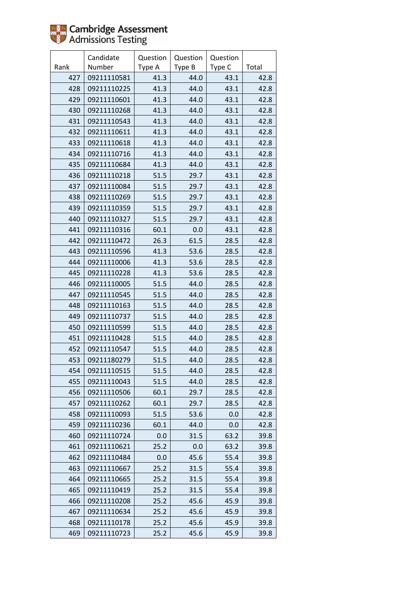

|      | Candidate   | Question | Question | Question |       |
|------|-------------|----------|----------|----------|-------|
| Rank | Number      | Type A   | Type B   | Type C   | Total |
| 427  | 09211110581 | 41.3     | 44.0     | 43.1     | 42.8  |
| 428  | 09211110225 | 41.3     | 44.0     | 43.1     | 42.8  |
| 429  | 09211110601 | 41.3     | 44.0     | 43.1     | 42.8  |
| 430  | 09211110268 | 41.3     | 44.0     | 43.1     | 42.8  |
| 431  | 09211110543 | 41.3     | 44.0     | 43.1     | 42.8  |
| 432  | 09211110611 | 41.3     | 44.0     | 43.1     | 42.8  |
| 433  | 09211110618 | 41.3     | 44.0     | 43.1     | 42.8  |
| 434  | 09211110716 | 41.3     | 44.0     | 43.1     | 42.8  |
| 435  | 09211110684 | 41.3     | 44.0     | 43.1     | 42.8  |
| 436  | 09211110218 | 51.5     | 29.7     | 43.1     | 42.8  |
| 437  | 09211110084 | 51.5     | 29.7     | 43.1     | 42.8  |
| 438  | 09211110269 | 51.5     | 29.7     | 43.1     | 42.8  |
| 439  | 09211110359 | 51.5     | 29.7     | 43.1     | 42.8  |
| 440  | 09211110327 | 51.5     | 29.7     | 43.1     | 42.8  |
| 441  | 09211110316 | 60.1     | 0.0      | 43.1     | 42.8  |
| 442  | 09211110472 | 26.3     | 61.5     | 28.5     | 42.8  |
| 443  | 09211110596 | 41.3     | 53.6     | 28.5     | 42.8  |
| 444  | 09211110006 | 41.3     | 53.6     | 28.5     | 42.8  |
| 445  | 09211110228 | 41.3     | 53.6     | 28.5     | 42.8  |
| 446  | 09211110005 | 51.5     | 44.0     | 28.5     | 42.8  |
| 447  | 09211110545 | 51.5     | 44.0     | 28.5     | 42.8  |
| 448  | 09211110163 | 51.5     | 44.0     | 28.5     | 42.8  |
| 449  | 09211110737 | 51.5     | 44.0     | 28.5     | 42.8  |
| 450  | 09211110599 | 51.5     | 44.0     | 28.5     | 42.8  |
| 451  | 09211110428 | 51.5     | 44.0     | 28.5     | 42.8  |
| 452  | 09211110547 | 51.5     | 44.0     | 28.5     | 42.8  |
| 453  | 09211180279 | 51.5     | 44.0     | 28.5     | 42.8  |
| 454  | 09211110515 | 51.5     | 44.0     | 28.5     | 42.8  |
| 455  | 09211110043 | 51.5     | 44.0     | 28.5     | 42.8  |
| 456  | 09211110506 | 60.1     | 29.7     | 28.5     | 42.8  |
| 457  | 09211110262 | 60.1     | 29.7     | 28.5     | 42.8  |
| 458  | 09211110093 | 51.5     | 53.6     | 0.0      | 42.8  |
| 459  | 09211110236 | 60.1     | 44.0     | 0.0      | 42.8  |
| 460  | 09211110724 | 0.0      | 31.5     | 63.2     | 39.8  |
| 461  | 09211110621 | 25.2     | 0.0      | 63.2     | 39.8  |
| 462  | 09211110484 | 0.0      | 45.6     | 55.4     | 39.8  |
| 463  | 09211110667 | 25.2     | 31.5     | 55.4     | 39.8  |
| 464  | 09211110665 | 25.2     | 31.5     | 55.4     | 39.8  |
| 465  | 09211110419 | 25.2     | 31.5     | 55.4     | 39.8  |
| 466  | 09211110208 | 25.2     | 45.6     | 45.9     | 39.8  |
| 467  | 09211110634 | 25.2     | 45.6     | 45.9     | 39.8  |
| 468  | 09211110178 | 25.2     | 45.6     | 45.9     | 39.8  |
| 469  | 09211110723 | 25.2     | 45.6     | 45.9     | 39.8  |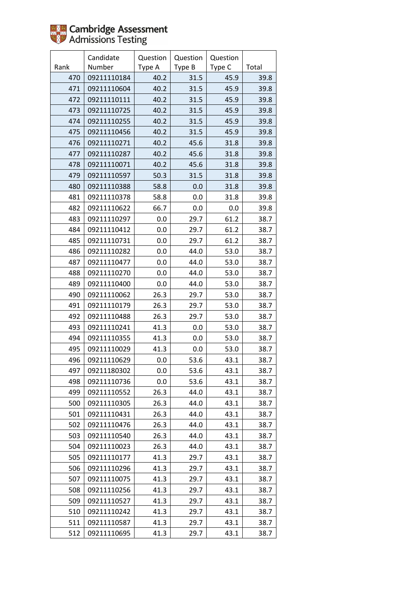

|      | Candidate   | Question | Question | Question |       |
|------|-------------|----------|----------|----------|-------|
| Rank | Number      | Type A   | Type B   | Type C   | Total |
| 470  | 09211110184 | 40.2     | 31.5     | 45.9     | 39.8  |
| 471  | 09211110604 | 40.2     | 31.5     | 45.9     | 39.8  |
| 472  | 09211110111 | 40.2     | 31.5     | 45.9     | 39.8  |
| 473  | 09211110725 | 40.2     | 31.5     | 45.9     | 39.8  |
| 474  | 09211110255 | 40.2     | 31.5     | 45.9     | 39.8  |
| 475  | 09211110456 | 40.2     | 31.5     | 45.9     | 39.8  |
| 476  | 09211110271 | 40.2     | 45.6     | 31.8     | 39.8  |
| 477  | 09211110287 | 40.2     | 45.6     | 31.8     | 39.8  |
| 478  | 09211110071 | 40.2     | 45.6     | 31.8     | 39.8  |
| 479  | 09211110597 | 50.3     | 31.5     | 31.8     | 39.8  |
| 480  | 09211110388 | 58.8     | 0.0      | 31.8     | 39.8  |
| 481  | 09211110378 | 58.8     | 0.0      | 31.8     | 39.8  |
| 482  | 09211110622 | 66.7     | 0.0      | 0.0      | 39.8  |
| 483  | 09211110297 | 0.0      | 29.7     | 61.2     | 38.7  |
| 484  | 09211110412 | 0.0      | 29.7     | 61.2     | 38.7  |
| 485  | 09211110731 | 0.0      | 29.7     | 61.2     | 38.7  |
| 486  | 09211110282 | 0.0      | 44.0     | 53.0     | 38.7  |
| 487  | 09211110477 | 0.0      | 44.0     | 53.0     | 38.7  |
| 488  | 09211110270 | 0.0      | 44.0     | 53.0     | 38.7  |
| 489  | 09211110400 | 0.0      | 44.0     | 53.0     | 38.7  |
| 490  | 09211110062 | 26.3     | 29.7     | 53.0     | 38.7  |
| 491  | 09211110179 | 26.3     | 29.7     | 53.0     | 38.7  |
| 492  | 09211110488 | 26.3     | 29.7     | 53.0     | 38.7  |
| 493  | 09211110241 | 41.3     | 0.0      | 53.0     | 38.7  |
| 494  | 09211110355 | 41.3     | 0.0      | 53.0     | 38.7  |
| 495  | 09211110029 | 41.3     | 0.0      | 53.0     | 38.7  |
| 496  | 09211110629 | 0.0      | 53.6     | 43.1     | 38.7  |
| 497  | 09211180302 | 0.0      | 53.6     | 43.1     | 38.7  |
| 498  | 09211110736 | 0.0      | 53.6     | 43.1     | 38.7  |
| 499  | 09211110552 | 26.3     | 44.0     | 43.1     | 38.7  |
| 500  | 09211110305 | 26.3     | 44.0     | 43.1     | 38.7  |
| 501  | 09211110431 | 26.3     | 44.0     | 43.1     | 38.7  |
| 502  | 09211110476 | 26.3     | 44.0     | 43.1     | 38.7  |
| 503  | 09211110540 | 26.3     | 44.0     | 43.1     | 38.7  |
| 504  | 09211110023 | 26.3     | 44.0     | 43.1     | 38.7  |
| 505  | 09211110177 | 41.3     | 29.7     | 43.1     | 38.7  |
| 506  | 09211110296 | 41.3     | 29.7     | 43.1     | 38.7  |
| 507  | 09211110075 | 41.3     | 29.7     | 43.1     | 38.7  |
| 508  | 09211110256 | 41.3     | 29.7     | 43.1     | 38.7  |
| 509  | 09211110527 | 41.3     | 29.7     | 43.1     | 38.7  |
| 510  | 09211110242 | 41.3     | 29.7     | 43.1     | 38.7  |
| 511  | 09211110587 | 41.3     | 29.7     | 43.1     | 38.7  |
| 512  | 09211110695 | 41.3     | 29.7     | 43.1     | 38.7  |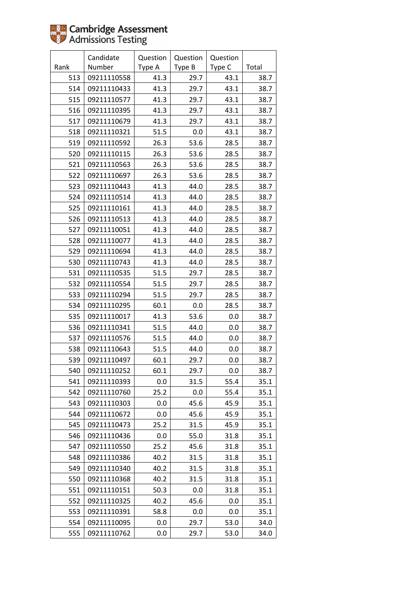|      | Candidate   | Question | Question | Question |       |
|------|-------------|----------|----------|----------|-------|
| Rank | Number      | Type A   | Type B   | Type C   | Total |
| 513  | 09211110558 | 41.3     | 29.7     | 43.1     | 38.7  |
| 514  | 09211110433 | 41.3     | 29.7     | 43.1     | 38.7  |
| 515  | 09211110577 | 41.3     | 29.7     | 43.1     | 38.7  |
| 516  | 09211110395 | 41.3     | 29.7     | 43.1     | 38.7  |
| 517  | 09211110679 | 41.3     | 29.7     | 43.1     | 38.7  |
| 518  | 09211110321 | 51.5     | 0.0      | 43.1     | 38.7  |
| 519  | 09211110592 | 26.3     | 53.6     | 28.5     | 38.7  |
| 520  | 09211110115 | 26.3     | 53.6     | 28.5     | 38.7  |
| 521  | 09211110563 | 26.3     | 53.6     | 28.5     | 38.7  |
| 522  | 09211110697 | 26.3     | 53.6     | 28.5     | 38.7  |
| 523  | 09211110443 | 41.3     | 44.0     | 28.5     | 38.7  |
| 524  | 09211110514 | 41.3     | 44.0     | 28.5     | 38.7  |
| 525  | 09211110161 | 41.3     | 44.0     | 28.5     | 38.7  |
| 526  | 09211110513 | 41.3     | 44.0     | 28.5     | 38.7  |
| 527  | 09211110051 | 41.3     | 44.0     | 28.5     | 38.7  |
| 528  | 09211110077 | 41.3     | 44.0     | 28.5     | 38.7  |
| 529  | 09211110694 | 41.3     | 44.0     | 28.5     | 38.7  |
| 530  | 09211110743 | 41.3     | 44.0     | 28.5     | 38.7  |
| 531  | 09211110535 | 51.5     | 29.7     | 28.5     | 38.7  |
| 532  | 09211110554 | 51.5     | 29.7     | 28.5     | 38.7  |
| 533  | 09211110294 | 51.5     | 29.7     | 28.5     | 38.7  |
| 534  | 09211110295 | 60.1     | 0.0      | 28.5     | 38.7  |
| 535  | 09211110017 | 41.3     | 53.6     | 0.0      | 38.7  |
| 536  | 09211110341 | 51.5     | 44.0     | 0.0      | 38.7  |
| 537  | 09211110576 | 51.5     | 44.0     | 0.0      | 38.7  |
| 538  | 09211110643 | 51.5     | 44.0     | 0.0      | 38.7  |
| 539  | 09211110497 | 60.1     | 29.7     | 0.0      | 38.7  |
| 540  | 09211110252 | 60.1     | 29.7     | 0.0      | 38.7  |
| 541  | 09211110393 | 0.0      | 31.5     | 55.4     | 35.1  |
| 542  | 09211110760 | 25.2     | 0.0      | 55.4     | 35.1  |
| 543  | 09211110303 | 0.0      | 45.6     | 45.9     | 35.1  |
| 544  | 09211110672 | 0.0      | 45.6     | 45.9     | 35.1  |
| 545  | 09211110473 | 25.2     | 31.5     | 45.9     | 35.1  |
| 546  | 09211110436 | 0.0      | 55.0     | 31.8     | 35.1  |
| 547  | 09211110550 | 25.2     | 45.6     | 31.8     | 35.1  |
| 548  | 09211110386 | 40.2     | 31.5     | 31.8     | 35.1  |
| 549  | 09211110340 | 40.2     | 31.5     | 31.8     | 35.1  |
| 550  | 09211110368 | 40.2     | 31.5     | 31.8     | 35.1  |
| 551  | 09211110151 | 50.3     | 0.0      | 31.8     | 35.1  |
| 552  | 09211110325 | 40.2     | 45.6     | 0.0      | 35.1  |
| 553  | 09211110391 | 58.8     | 0.0      | 0.0      | 35.1  |
| 554  | 09211110095 | $0.0\,$  | 29.7     | 53.0     | 34.0  |
| 555  | 09211110762 | 0.0      | 29.7     | 53.0     | 34.0  |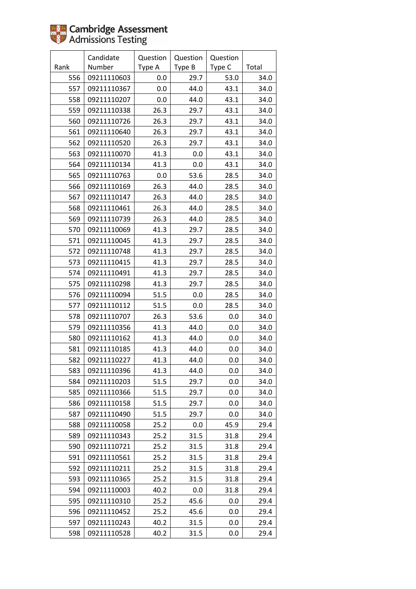|      | Candidate   | Question | Question | Question |       |
|------|-------------|----------|----------|----------|-------|
| Rank | Number      | Type A   | Type B   | Type C   | Total |
| 556  | 09211110603 | 0.0      | 29.7     | 53.0     | 34.0  |
| 557  | 09211110367 | 0.0      | 44.0     | 43.1     | 34.0  |
| 558  | 09211110207 | 0.0      | 44.0     | 43.1     | 34.0  |
| 559  | 09211110338 | 26.3     | 29.7     | 43.1     | 34.0  |
| 560  | 09211110726 | 26.3     | 29.7     | 43.1     | 34.0  |
| 561  | 09211110640 | 26.3     | 29.7     | 43.1     | 34.0  |
| 562  | 09211110520 | 26.3     | 29.7     | 43.1     | 34.0  |
| 563  | 09211110070 | 41.3     | 0.0      | 43.1     | 34.0  |
| 564  | 09211110134 | 41.3     | 0.0      | 43.1     | 34.0  |
| 565  | 09211110763 | 0.0      | 53.6     | 28.5     | 34.0  |
| 566  | 09211110169 | 26.3     | 44.0     | 28.5     | 34.0  |
| 567  | 09211110147 | 26.3     | 44.0     | 28.5     | 34.0  |
| 568  | 09211110461 | 26.3     | 44.0     | 28.5     | 34.0  |
| 569  | 09211110739 | 26.3     | 44.0     | 28.5     | 34.0  |
| 570  | 09211110069 | 41.3     | 29.7     | 28.5     | 34.0  |
| 571  | 09211110045 | 41.3     | 29.7     | 28.5     | 34.0  |
| 572  | 09211110748 | 41.3     | 29.7     | 28.5     | 34.0  |
| 573  | 09211110415 | 41.3     | 29.7     | 28.5     | 34.0  |
| 574  | 09211110491 | 41.3     | 29.7     | 28.5     | 34.0  |
| 575  | 09211110298 | 41.3     | 29.7     | 28.5     | 34.0  |
| 576  | 09211110094 | 51.5     | 0.0      | 28.5     | 34.0  |
| 577  | 09211110112 | 51.5     | 0.0      | 28.5     | 34.0  |
| 578  | 09211110707 | 26.3     | 53.6     | 0.0      | 34.0  |
| 579  | 09211110356 | 41.3     | 44.0     | 0.0      | 34.0  |
| 580  | 09211110162 | 41.3     | 44.0     | 0.0      | 34.0  |
| 581  | 09211110185 | 41.3     | 44.0     | 0.0      | 34.0  |
| 582  | 09211110227 | 41.3     | 44.0     | 0.0      | 34.0  |
| 583  | 09211110396 | 41.3     | 44.0     | 0.0      | 34.0  |
| 584  | 09211110203 | 51.5     | 29.7     | 0.0      | 34.0  |
| 585  | 09211110366 | 51.5     | 29.7     | 0.0      | 34.0  |
| 586  | 09211110158 | 51.5     | 29.7     | 0.0      | 34.0  |
| 587  | 09211110490 | 51.5     | 29.7     | 0.0      | 34.0  |
| 588  | 09211110058 | 25.2     | 0.0      | 45.9     | 29.4  |
| 589  | 09211110343 | 25.2     | 31.5     | 31.8     | 29.4  |
| 590  | 09211110721 | 25.2     | 31.5     | 31.8     | 29.4  |
| 591  | 09211110561 | 25.2     | 31.5     | 31.8     | 29.4  |
| 592  | 09211110211 | 25.2     | 31.5     | 31.8     | 29.4  |
| 593  | 09211110365 | 25.2     | 31.5     | 31.8     | 29.4  |
| 594  | 09211110003 | 40.2     | 0.0      | 31.8     | 29.4  |
| 595  | 09211110310 | 25.2     | 45.6     | 0.0      | 29.4  |
| 596  | 09211110452 | 25.2     | 45.6     | 0.0      | 29.4  |
| 597  | 09211110243 | 40.2     | 31.5     | 0.0      | 29.4  |
| 598  | 09211110528 | 40.2     | 31.5     | 0.0      | 29.4  |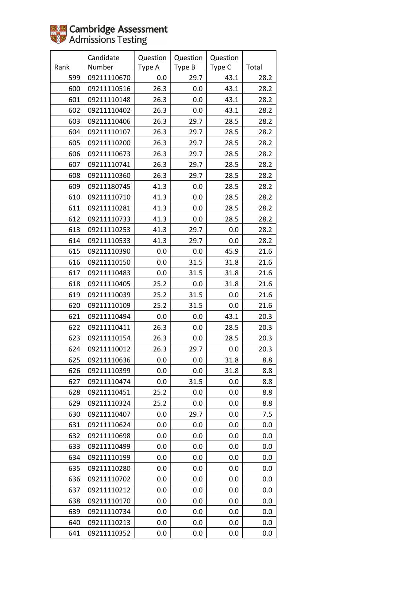|      | Candidate   | Question | Question | Question |       |
|------|-------------|----------|----------|----------|-------|
| Rank | Number      | Type A   | Type B   | Type C   | Total |
| 599  | 09211110670 | 0.0      | 29.7     | 43.1     | 28.2  |
| 600  | 09211110516 | 26.3     | 0.0      | 43.1     | 28.2  |
| 601  | 09211110148 | 26.3     | 0.0      | 43.1     | 28.2  |
| 602  | 09211110402 | 26.3     | 0.0      | 43.1     | 28.2  |
| 603  | 09211110406 | 26.3     | 29.7     | 28.5     | 28.2  |
| 604  | 09211110107 | 26.3     | 29.7     | 28.5     | 28.2  |
| 605  | 09211110200 | 26.3     | 29.7     | 28.5     | 28.2  |
| 606  | 09211110673 | 26.3     | 29.7     | 28.5     | 28.2  |
| 607  | 09211110741 | 26.3     | 29.7     | 28.5     | 28.2  |
| 608  | 09211110360 | 26.3     | 29.7     | 28.5     | 28.2  |
| 609  | 09211180745 | 41.3     | 0.0      | 28.5     | 28.2  |
| 610  | 09211110710 | 41.3     | 0.0      | 28.5     | 28.2  |
| 611  | 09211110281 | 41.3     | 0.0      | 28.5     | 28.2  |
| 612  | 09211110733 | 41.3     | 0.0      | 28.5     | 28.2  |
| 613  | 09211110253 | 41.3     | 29.7     | 0.0      | 28.2  |
| 614  | 09211110533 | 41.3     | 29.7     | 0.0      | 28.2  |
| 615  | 09211110390 | 0.0      | 0.0      | 45.9     | 21.6  |
| 616  | 09211110150 | 0.0      | 31.5     | 31.8     | 21.6  |
| 617  | 09211110483 | 0.0      | 31.5     | 31.8     | 21.6  |
| 618  | 09211110405 | 25.2     | 0.0      | 31.8     | 21.6  |
| 619  | 09211110039 | 25.2     | 31.5     | 0.0      | 21.6  |
| 620  | 09211110109 | 25.2     | 31.5     | 0.0      | 21.6  |
| 621  | 09211110494 | 0.0      | 0.0      | 43.1     | 20.3  |
| 622  | 09211110411 | 26.3     | 0.0      | 28.5     | 20.3  |
| 623  | 09211110154 | 26.3     | 0.0      | 28.5     | 20.3  |
| 624  | 09211110012 | 26.3     | 29.7     | 0.0      | 20.3  |
| 625  | 09211110636 | 0.0      | 0.0      | 31.8     | 8.8   |
| 626  | 09211110399 | 0.0      | 0.0      | 31.8     | 8.8   |
| 627  | 09211110474 | 0.0      | 31.5     | 0.0      | 8.8   |
| 628  | 09211110451 | 25.2     | 0.0      | 0.0      | 8.8   |
| 629  | 09211110324 | 25.2     | 0.0      | 0.0      | 8.8   |
| 630  | 09211110407 | 0.0      | 29.7     | 0.0      | 7.5   |
| 631  | 09211110624 | 0.0      | 0.0      | 0.0      | 0.0   |
| 632  | 09211110698 | 0.0      | 0.0      | 0.0      | 0.0   |
| 633  | 09211110499 | 0.0      | 0.0      | 0.0      | 0.0   |
| 634  | 09211110199 | 0.0      | 0.0      | 0.0      | 0.0   |
| 635  | 09211110280 | 0.0      | $0.0\,$  | 0.0      | 0.0   |
| 636  | 09211110702 | 0.0      | 0.0      | 0.0      | 0.0   |
| 637  | 09211110212 | 0.0      | 0.0      | 0.0      | 0.0   |
| 638  | 09211110170 | 0.0      | 0.0      | 0.0      | 0.0   |
| 639  | 09211110734 | 0.0      | 0.0      | 0.0      | 0.0   |
| 640  | 09211110213 | 0.0      | 0.0      | 0.0      | 0.0   |
| 641  | 09211110352 | 0.0      | 0.0      | 0.0      | 0.0   |